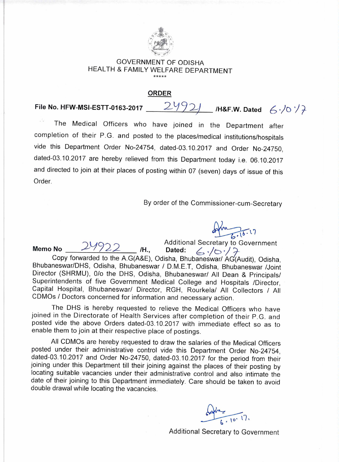

## GOVERNMENT OF ODISHA HEALTH & FAMILY WELFARE DEPARTMENT \*\*\*\*\*

## **ORDER**

## **File No. HFW-MSI-ESTT-0163-2017**  24921 H&F.W. Dated  $6.1017$

**Memo No** 

The Medical Officers who have joined in the Department after completion of their P.G. and posted to the places/medical institutions/hospitals vide this Department Order No-24754, dated-03.10.2017 and Order No-24750, dated-03.10.2017 are hereby relieved from this Department today i.e. 06.10.2017 and directed to join at their places of posting within 07 (seven) days of issue of this Order.

By order of the Commissioner-cum-Secretary

opha 5.10.17

Additional Secretary to Government **/H., Dated: 4, ,/t-.)** 

Copy forwarded to the A.G(A&E), Odisha, Bhubaneswar/ AG(Audit), Odisha, Bhubaneswar/DHS, Odisha, Bhubaneswar / D.M.E.T, Odisha, Bhubaneswar /Joint Director (SHRMU), 0/o the DHS, Odisha, Bhubaneswar/ All Dean & Principals/ Superintendents of five Government Medical College and Hospitals /Director, Capital Hospital, Bhubaneswar/ Director, RGH, Rourkela/ All Collectors / All CDMOs / Doctors concerned for information and necessary action.

The DHS is hereby requested to relieve the Medical Officers who have joined in the Directorate of Health Services after completion of their P.G. and posted vide the above Orders dated-03.10.2017 with immediate effect so as to enable them to join at their respective place of postings.

All CDMOs are hereby requested to draw the salaries of the Medical Officers posted under their administrative control vide this Department Order No-24754, dated-03.10.2017 and Order No-24750, dated-03.10.2017 for the period from their joining under this Department till their joining against the places of their posting by locating suitable vacancies under their administrative control and also intimate the date of their joining to this Department immediately. Care should be taken to avoid double drawal while locating the vacancies.

Additional Secretary to Government